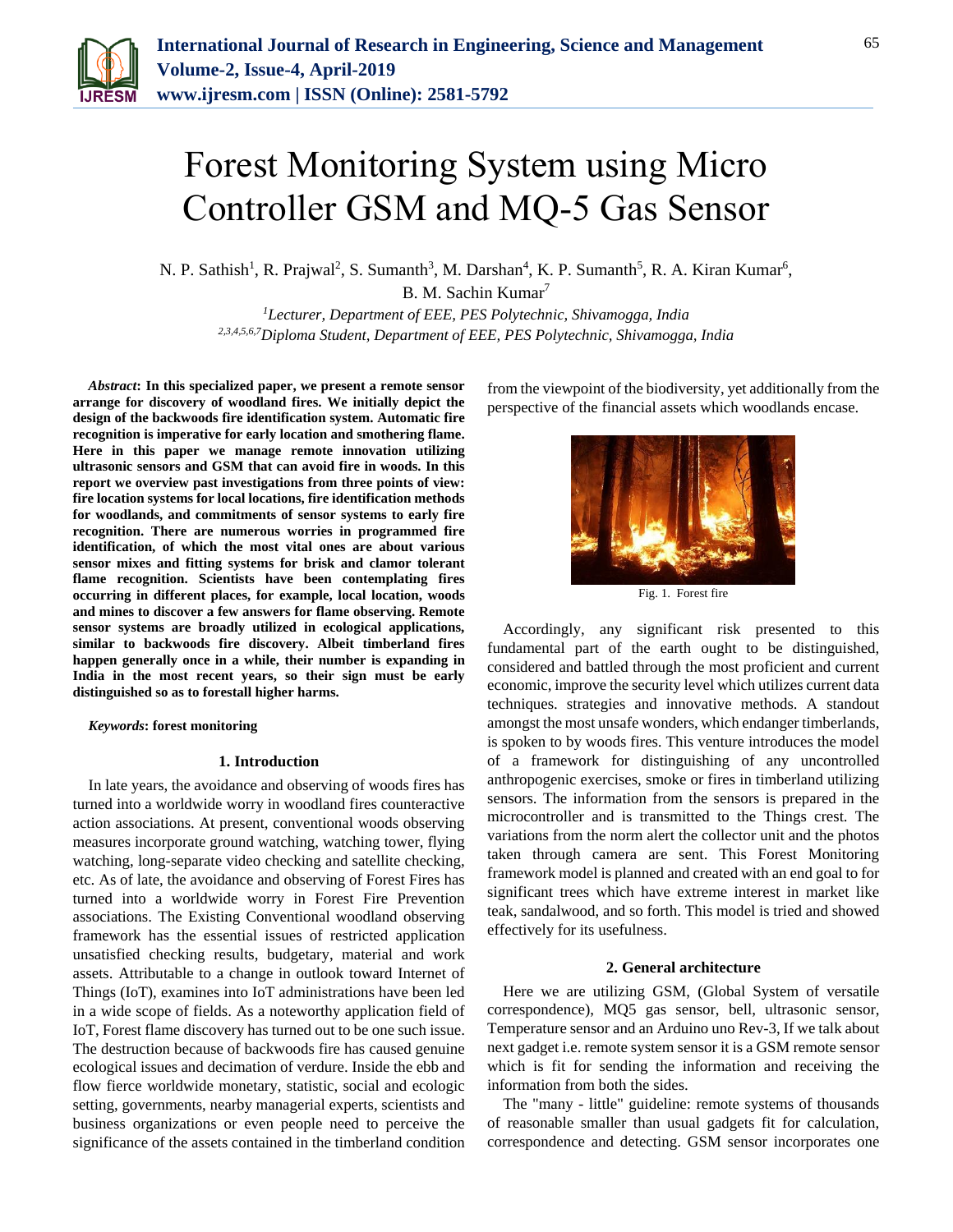

# Forest Monitoring System using Micro Controller GSM and MQ-5 Gas Sensor

N. P. Sathish<sup>1</sup>, R. Prajwal<sup>2</sup>, S. Sumanth<sup>3</sup>, M. Darshan<sup>4</sup>, K. P. Sumanth<sup>5</sup>, R. A. Kiran Kumar<sup>6</sup>,

B. M. Sachin Kumar<sup>7</sup>

*<sup>1</sup>Lecturer, Department of EEE, PES Polytechnic, Shivamogga, India 2,3,4,5,6,7Diploma Student, Department of EEE, PES Polytechnic, Shivamogga, India*

*Abstract***: In this specialized paper, we present a remote sensor arrange for discovery of woodland fires. We initially depict the design of the backwoods fire identification system. Automatic fire recognition is imperative for early location and smothering flame. Here in this paper we manage remote innovation utilizing ultrasonic sensors and GSM that can avoid fire in woods. In this report we overview past investigations from three points of view: fire location systems for local locations, fire identification methods for woodlands, and commitments of sensor systems to early fire recognition. There are numerous worries in programmed fire identification, of which the most vital ones are about various sensor mixes and fitting systems for brisk and clamor tolerant flame recognition. Scientists have been contemplating fires occurring in different places, for example, local location, woods and mines to discover a few answers for flame observing. Remote sensor systems are broadly utilized in ecological applications, similar to backwoods fire discovery. Albeit timberland fires happen generally once in a while, their number is expanding in India in the most recent years, so their sign must be early distinguished so as to forestall higher harms.**

*Keywords***: forest monitoring**

## **1. Introduction**

In late years, the avoidance and observing of woods fires has turned into a worldwide worry in woodland fires counteractive action associations. At present, conventional woods observing measures incorporate ground watching, watching tower, flying watching, long-separate video checking and satellite checking, etc. As of late, the avoidance and observing of Forest Fires has turned into a worldwide worry in Forest Fire Prevention associations. The Existing Conventional woodland observing framework has the essential issues of restricted application unsatisfied checking results, budgetary, material and work assets. Attributable to a change in outlook toward Internet of Things (IoT), examines into IoT administrations have been led in a wide scope of fields. As a noteworthy application field of IoT, Forest flame discovery has turned out to be one such issue. The destruction because of backwoods fire has caused genuine ecological issues and decimation of verdure. Inside the ebb and flow fierce worldwide monetary, statistic, social and ecologic setting, governments, nearby managerial experts, scientists and business organizations or even people need to perceive the significance of the assets contained in the timberland condition

from the viewpoint of the biodiversity, yet additionally from the perspective of the financial assets which woodlands encase.



Fig. 1. Forest fire

Accordingly, any significant risk presented to this fundamental part of the earth ought to be distinguished, considered and battled through the most proficient and current economic, improve the security level which utilizes current data techniques. strategies and innovative methods. A standout amongst the most unsafe wonders, which endanger timberlands, is spoken to by woods fires. This venture introduces the model of a framework for distinguishing of any uncontrolled anthropogenic exercises, smoke or fires in timberland utilizing sensors. The information from the sensors is prepared in the microcontroller and is transmitted to the Things crest. The variations from the norm alert the collector unit and the photos taken through camera are sent. This Forest Monitoring framework model is planned and created with an end goal to for significant trees which have extreme interest in market like teak, sandalwood, and so forth. This model is tried and showed effectively for its usefulness.

# **2. General architecture**

Here we are utilizing GSM, (Global System of versatile correspondence), MQ5 gas sensor, bell, ultrasonic sensor, Temperature sensor and an Arduino uno Rev-3, If we talk about next gadget i.e. remote system sensor it is a GSM remote sensor which is fit for sending the information and receiving the information from both the sides.

The "many - little" guideline: remote systems of thousands of reasonable smaller than usual gadgets fit for calculation, correspondence and detecting. GSM sensor incorporates one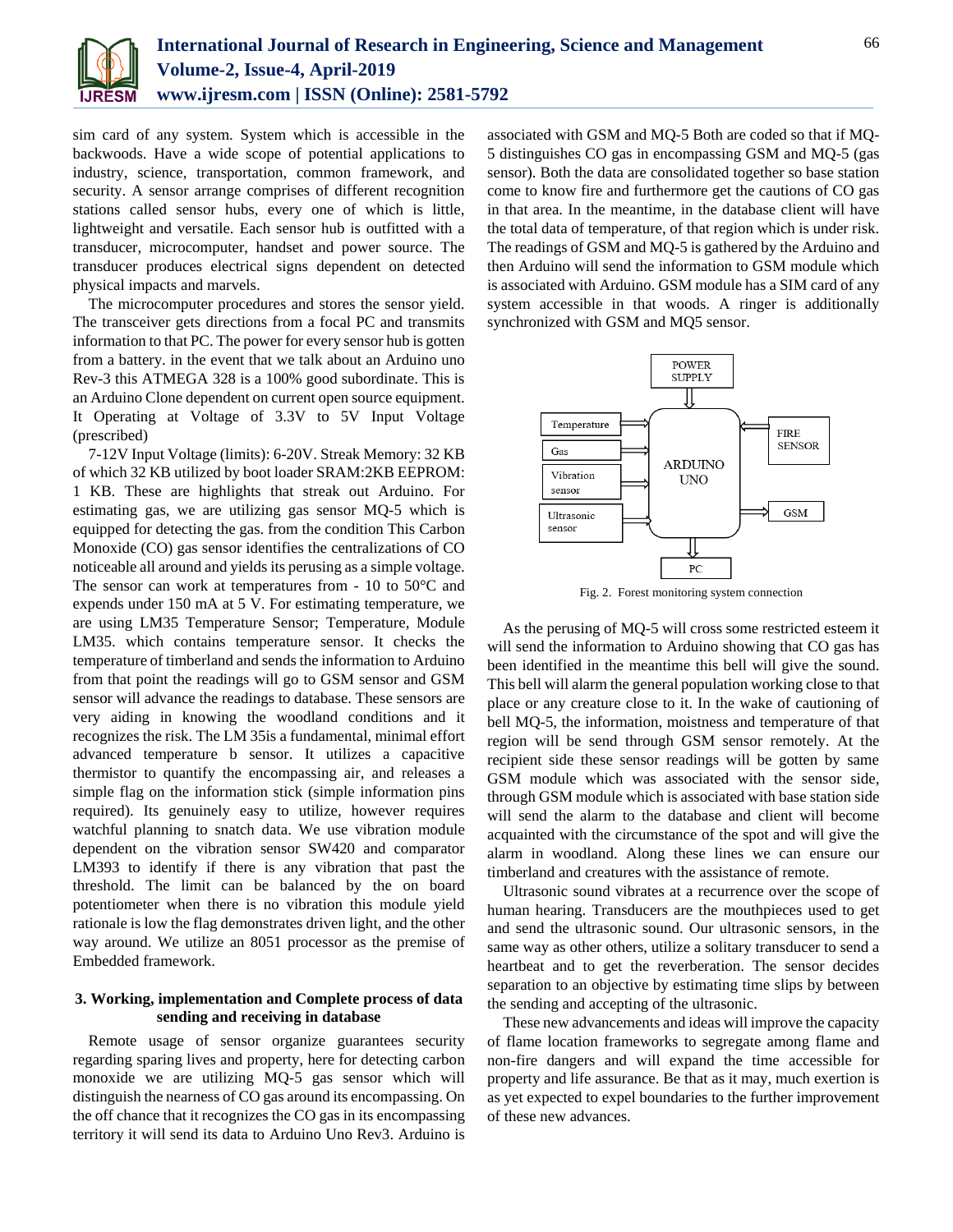

sim card of any system. System which is accessible in the backwoods. Have a wide scope of potential applications to industry, science, transportation, common framework, and security. A sensor arrange comprises of different recognition stations called sensor hubs, every one of which is little, lightweight and versatile. Each sensor hub is outfitted with a transducer, microcomputer, handset and power source. The transducer produces electrical signs dependent on detected physical impacts and marvels.

The microcomputer procedures and stores the sensor yield. The transceiver gets directions from a focal PC and transmits information to that PC. The power for every sensor hub is gotten from a battery. in the event that we talk about an Arduino uno Rev-3 this ATMEGA 328 is a 100% good subordinate. This is an Arduino Clone dependent on current open source equipment. It Operating at Voltage of 3.3V to 5V Input Voltage (prescribed)

7-12V Input Voltage (limits): 6-20V. Streak Memory: 32 KB of which 32 KB utilized by boot loader SRAM:2KB EEPROM: 1 KB. These are highlights that streak out Arduino. For estimating gas, we are utilizing gas sensor MQ-5 which is equipped for detecting the gas. from the condition This Carbon Monoxide (CO) gas sensor identifies the centralizations of CO noticeable all around and yields its perusing as a simple voltage. The sensor can work at temperatures from - 10 to 50°C and expends under 150 mA at 5 V. For estimating temperature, we are using LM35 Temperature Sensor; Temperature, Module LM35. which contains temperature sensor. It checks the temperature of timberland and sends the information to Arduino from that point the readings will go to GSM sensor and GSM sensor will advance the readings to database. These sensors are very aiding in knowing the woodland conditions and it recognizes the risk. The LM 35is a fundamental, minimal effort advanced temperature b sensor. It utilizes a capacitive thermistor to quantify the encompassing air, and releases a simple flag on the information stick (simple information pins required). Its genuinely easy to utilize, however requires watchful planning to snatch data. We use vibration module dependent on the vibration sensor SW420 and comparator LM393 to identify if there is any vibration that past the threshold. The limit can be balanced by the on board potentiometer when there is no vibration this module yield rationale is low the flag demonstrates driven light, and the other way around. We utilize an 8051 processor as the premise of Embedded framework.

# **3. Working, implementation and Complete process of data sending and receiving in database**

Remote usage of sensor organize guarantees security regarding sparing lives and property, here for detecting carbon monoxide we are utilizing MQ-5 gas sensor which will distinguish the nearness of CO gas around its encompassing. On the off chance that it recognizes the CO gas in its encompassing territory it will send its data to Arduino Uno Rev3. Arduino is

associated with GSM and MQ-5 Both are coded so that if MQ-5 distinguishes CO gas in encompassing GSM and MQ-5 (gas sensor). Both the data are consolidated together so base station come to know fire and furthermore get the cautions of CO gas in that area. In the meantime, in the database client will have the total data of temperature, of that region which is under risk. The readings of GSM and MQ-5 is gathered by the Arduino and then Arduino will send the information to GSM module which is associated with Arduino. GSM module has a SIM card of any system accessible in that woods. A ringer is additionally synchronized with GSM and MQ5 sensor.



Fig. 2. Forest monitoring system connection

As the perusing of MQ-5 will cross some restricted esteem it will send the information to Arduino showing that CO gas has been identified in the meantime this bell will give the sound. This bell will alarm the general population working close to that place or any creature close to it. In the wake of cautioning of bell MQ-5, the information, moistness and temperature of that region will be send through GSM sensor remotely. At the recipient side these sensor readings will be gotten by same GSM module which was associated with the sensor side, through GSM module which is associated with base station side will send the alarm to the database and client will become acquainted with the circumstance of the spot and will give the alarm in woodland. Along these lines we can ensure our timberland and creatures with the assistance of remote.

Ultrasonic sound vibrates at a recurrence over the scope of human hearing. Transducers are the mouthpieces used to get and send the ultrasonic sound. Our ultrasonic sensors, in the same way as other others, utilize a solitary transducer to send a heartbeat and to get the reverberation. The sensor decides separation to an objective by estimating time slips by between the sending and accepting of the ultrasonic.

These new advancements and ideas will improve the capacity of flame location frameworks to segregate among flame and non-fire dangers and will expand the time accessible for property and life assurance. Be that as it may, much exertion is as yet expected to expel boundaries to the further improvement of these new advances.